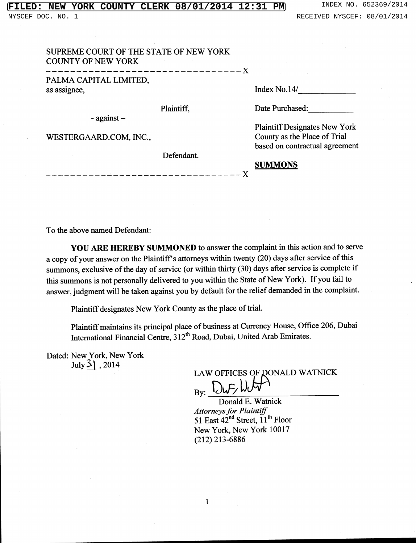|  |  | <b>FILED: NEW YORK COUNTY CLERK 08/01/2014 12:31 PM</b> |  |
|--|--|---------------------------------------------------------|--|
|  |  |                                                         |  |

| SUPREME COURT OF THE STATE OF NEW YORK<br><b>COUNTY OF NEW YORK</b> | _____________________________ |                                                                |
|---------------------------------------------------------------------|-------------------------------|----------------------------------------------------------------|
| PALMA CAPITAL LIMITED,<br>as assignee,                              |                               | Index No.14/                                                   |
| - against $-$                                                       | Plaintiff,                    | Date Purchased:                                                |
|                                                                     |                               | <b>Plaintiff Designates New York</b>                           |
| WESTERGAARD.COM, INC.,                                              |                               | County as the Place of Trial<br>based on contractual agreement |
|                                                                     | Defendant.                    |                                                                |
|                                                                     |                               | <b>SUMMONS</b>                                                 |

To the above named Defendant:

YOU ARE HEREBY SUMMONED to answer the complaint in this action and to serve a copy of your answer on the Plaintiff's attorneys within twenty (20) days after service of this summons, exclusive of the day of service (or within thirty (30) days after service is complete if this summons is not personally delivered to you within the State of New York). If you fail to answer, judgment will be taken against you by default for the relief demanded in the complaint.

Plaintiff designates New York County as the place of trial.

Plaintiff maintains its principal place of business at Currency House, Office 206, Dubai International Financial Centre, 312<sup>th</sup> Road, Dubai, United Arab Emirates.

Dated: New York, New York July  $3$ , 2014

LAW OFFICES OF QONALD WATNICK  $B_y: \frac{Dw}{w}W$ 

Donald E. Watnick Attorneys for Plaintiff<br>51 East  $42<sup>nd</sup>$  Street,  $11<sup>th</sup>$  Floor New York, New York 10017  $(212)$  213-6886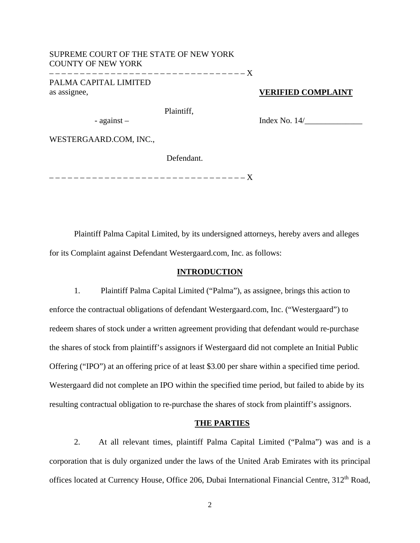## SUPREME COURT OF THE STATE OF NEW YORK COUNTY OF NEW YORK – – – – – – – – – – – – – – – – – – – – – – – – – – – – – – – – X

PALMA CAPITAL LIMITED as assignee,

# **VERIFIED COMPLAINT**

Plaintiff,

Index No. 14/\_\_\_\_\_\_\_\_\_\_\_\_\_\_

WESTERGAARD.COM, INC.,

- against –

Defendant.

– – – – – – – – – – – – – – – – – – – – – – – – – – – – – – – – X

 Plaintiff Palma Capital Limited, by its undersigned attorneys, hereby avers and alleges for its Complaint against Defendant Westergaard.com, Inc. as follows:

## **INTRODUCTION**

1. Plaintiff Palma Capital Limited ("Palma"), as assignee, brings this action to enforce the contractual obligations of defendant Westergaard.com, Inc. ("Westergaard") to redeem shares of stock under a written agreement providing that defendant would re-purchase the shares of stock from plaintiff's assignors if Westergaard did not complete an Initial Public Offering ("IPO") at an offering price of at least \$3.00 per share within a specified time period. Westergaard did not complete an IPO within the specified time period, but failed to abide by its resulting contractual obligation to re-purchase the shares of stock from plaintiff's assignors.

#### **THE PARTIES**

2. At all relevant times, plaintiff Palma Capital Limited ("Palma") was and is a corporation that is duly organized under the laws of the United Arab Emirates with its principal offices located at Currency House, Office 206, Dubai International Financial Centre, 312<sup>th</sup> Road,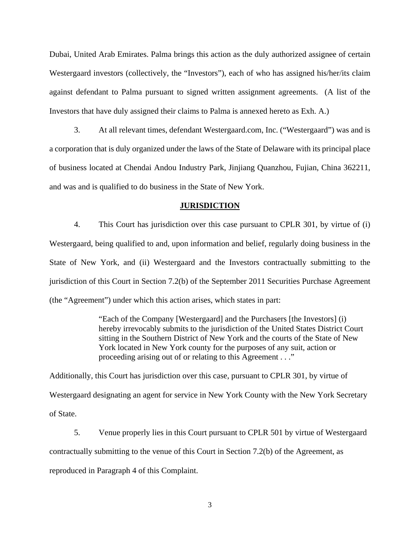Dubai, United Arab Emirates. Palma brings this action as the duly authorized assignee of certain Westergaard investors (collectively, the "Investors"), each of who has assigned his/her/its claim against defendant to Palma pursuant to signed written assignment agreements. (A list of the Investors that have duly assigned their claims to Palma is annexed hereto as Exh. A.)

3. At all relevant times, defendant Westergaard.com, Inc. ("Westergaard") was and is a corporation that is duly organized under the laws of the State of Delaware with its principal place of business located at Chendai Andou Industry Park, Jinjiang Quanzhou, Fujian, China 362211, and was and is qualified to do business in the State of New York.

#### **JURISDICTION**

4. This Court has jurisdiction over this case pursuant to CPLR 301, by virtue of (i) Westergaard, being qualified to and, upon information and belief, regularly doing business in the State of New York, and (ii) Westergaard and the Investors contractually submitting to the jurisdiction of this Court in Section 7.2(b) of the September 2011 Securities Purchase Agreement (the "Agreement") under which this action arises, which states in part:

> "Each of the Company [Westergaard] and the Purchasers [the Investors] (i) hereby irrevocably submits to the jurisdiction of the United States District Court sitting in the Southern District of New York and the courts of the State of New York located in New York county for the purposes of any suit, action or proceeding arising out of or relating to this Agreement . . ."

Additionally, this Court has jurisdiction over this case, pursuant to CPLR 301, by virtue of Westergaard designating an agent for service in New York County with the New York Secretary of State.

5. Venue properly lies in this Court pursuant to CPLR 501 by virtue of Westergaard contractually submitting to the venue of this Court in Section 7.2(b) of the Agreement, as reproduced in Paragraph 4 of this Complaint.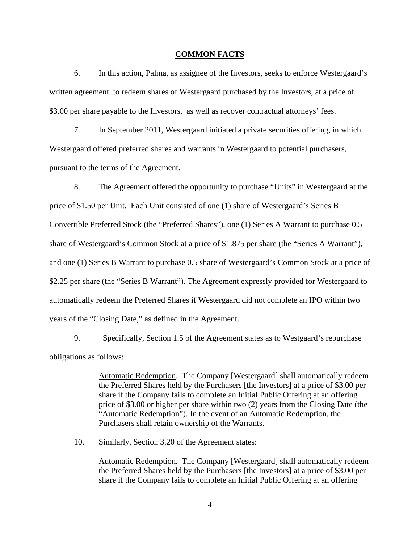#### **COMMON FACTS**

6. In this action, Palma, as assignee of the Investors, seeks to enforce Westergaard's written agreement to redeem shares of Westergaard purchased by the Investors, at a price of \$3.00 per share payable to the Investors, as well as recover contractual attorneys' fees.

7. In September 2011, Westergaard initiated a private securities offering, in which Westergaard offered preferred shares and warrants in Westergaard to potential purchasers, pursuant to the terms of the Agreement.

8. The Agreement offered the opportunity to purchase "Units" in Westergaard at the price of \$1.50 per Unit. Each Unit consisted of one (1) share of Westergaard's Series B Convertible Preferred Stock (the "Preferred Shares"), one (1) Series A Warrant to purchase 0.5 share of Westergaard's Common Stock at a price of \$1.875 per share (the "Series A Warrant"), and one (1) Series B Warrant to purchase 0.5 share of Westergaard's Common Stock at a price of \$2.25 per share (the "Series B Warrant"). The Agreement expressly provided for Westergaard to automatically redeem the Preferred Shares if Westergaard did not complete an IPO within two years of the "Closing Date," as defined in the Agreement.

9. Specifically, Section 1.5 of the Agreement states as to Westgaard's repurchase obligations as follows:

> Automatic Redemption. The Company [Westergaard] shall automatically redeem the Preferred Shares held by the Purchasers [the Investors] at a price of \$3.00 per share if the Company fails to complete an Initial Public Offering at an offering price of \$3.00 or higher per share within two (2) years from the Closing Date (the "Automatic Redemption"). In the event of an Automatic Redemption, the Purchasers shall retain ownership of the Warrants.

10. Similarly, Section 3.20 of the Agreement states:

Automatic Redemption. The Company [Westergaard] shall automatically redeem the Preferred Shares held by the Purchasers [the Investors] at a price of \$3.00 per share if the Company fails to complete an Initial Public Offering at an offering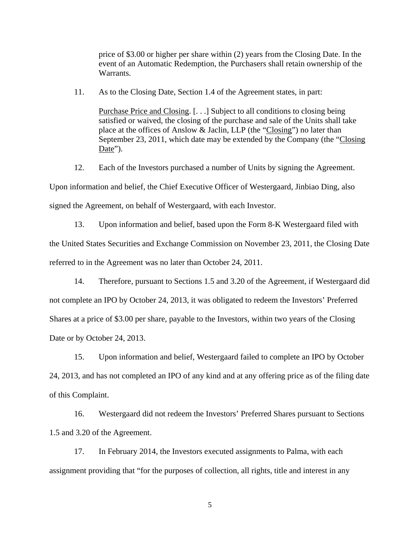price of \$3.00 or higher per share within (2) years from the Closing Date. In the event of an Automatic Redemption, the Purchasers shall retain ownership of the Warrants.

11. As to the Closing Date, Section 1.4 of the Agreement states, in part:

Purchase Price and Closing. [. . .] Subject to all conditions to closing being satisfied or waived, the closing of the purchase and sale of the Units shall take place at the offices of Anslow & Jaclin, LLP (the "Closing") no later than September 23, 2011, which date may be extended by the Company (the "Closing Date").

12. Each of the Investors purchased a number of Units by signing the Agreement. Upon information and belief, the Chief Executive Officer of Westergaard, Jinbiao Ding, also signed the Agreement, on behalf of Westergaard, with each Investor.

13. Upon information and belief, based upon the Form 8-K Westergaard filed with the United States Securities and Exchange Commission on November 23, 2011, the Closing Date referred to in the Agreement was no later than October 24, 2011.

14. Therefore, pursuant to Sections 1.5 and 3.20 of the Agreement, if Westergaard did not complete an IPO by October 24, 2013, it was obligated to redeem the Investors' Preferred Shares at a price of \$3.00 per share, payable to the Investors, within two years of the Closing Date or by October 24, 2013.

15. Upon information and belief, Westergaard failed to complete an IPO by October 24, 2013, and has not completed an IPO of any kind and at any offering price as of the filing date of this Complaint.

16. Westergaard did not redeem the Investors' Preferred Shares pursuant to Sections 1.5 and 3.20 of the Agreement.

17. In February 2014, the Investors executed assignments to Palma, with each assignment providing that "for the purposes of collection, all rights, title and interest in any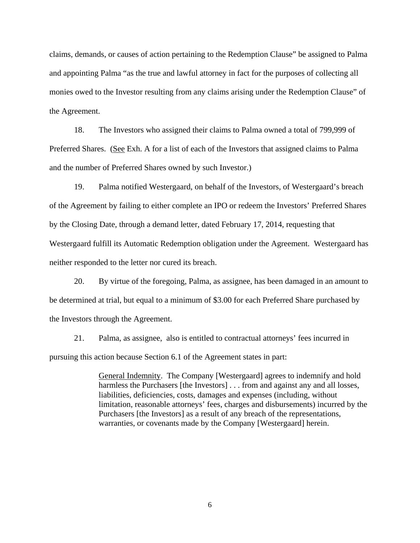claims, demands, or causes of action pertaining to the Redemption Clause" be assigned to Palma and appointing Palma "as the true and lawful attorney in fact for the purposes of collecting all monies owed to the Investor resulting from any claims arising under the Redemption Clause" of the Agreement.

18. The Investors who assigned their claims to Palma owned a total of 799,999 of Preferred Shares. (See Exh. A for a list of each of the Investors that assigned claims to Palma and the number of Preferred Shares owned by such Investor.)

19. Palma notified Westergaard, on behalf of the Investors, of Westergaard's breach of the Agreement by failing to either complete an IPO or redeem the Investors' Preferred Shares by the Closing Date, through a demand letter, dated February 17, 2014, requesting that Westergaard fulfill its Automatic Redemption obligation under the Agreement. Westergaard has neither responded to the letter nor cured its breach.

20. By virtue of the foregoing, Palma, as assignee, has been damaged in an amount to be determined at trial, but equal to a minimum of \$3.00 for each Preferred Share purchased by the Investors through the Agreement.

21. Palma, as assignee, also is entitled to contractual attorneys' fees incurred in pursuing this action because Section 6.1 of the Agreement states in part:

> General Indemnity. The Company [Westergaard] agrees to indemnify and hold harmless the Purchasers [the Investors] . . . from and against any and all losses, liabilities, deficiencies, costs, damages and expenses (including, without limitation, reasonable attorneys' fees, charges and disbursements) incurred by the Purchasers [the Investors] as a result of any breach of the representations, warranties, or covenants made by the Company [Westergaard] herein.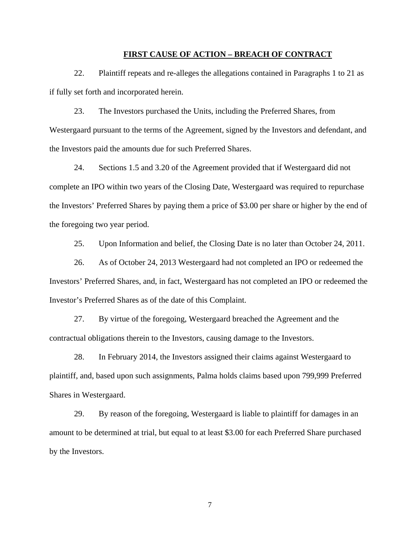## **FIRST CAUSE OF ACTION – BREACH OF CONTRACT**

22. Plaintiff repeats and re-alleges the allegations contained in Paragraphs 1 to 21 as if fully set forth and incorporated herein.

23. The Investors purchased the Units, including the Preferred Shares, from Westergaard pursuant to the terms of the Agreement, signed by the Investors and defendant, and the Investors paid the amounts due for such Preferred Shares.

24. Sections 1.5 and 3.20 of the Agreement provided that if Westergaard did not complete an IPO within two years of the Closing Date, Westergaard was required to repurchase the Investors' Preferred Shares by paying them a price of \$3.00 per share or higher by the end of the foregoing two year period.

25. Upon Information and belief, the Closing Date is no later than October 24, 2011.

26. As of October 24, 2013 Westergaard had not completed an IPO or redeemed the Investors' Preferred Shares, and, in fact, Westergaard has not completed an IPO or redeemed the Investor's Preferred Shares as of the date of this Complaint.

27. By virtue of the foregoing, Westergaard breached the Agreement and the contractual obligations therein to the Investors, causing damage to the Investors.

28. In February 2014, the Investors assigned their claims against Westergaard to plaintiff, and, based upon such assignments, Palma holds claims based upon 799,999 Preferred Shares in Westergaard.

29. By reason of the foregoing, Westergaard is liable to plaintiff for damages in an amount to be determined at trial, but equal to at least \$3.00 for each Preferred Share purchased by the Investors.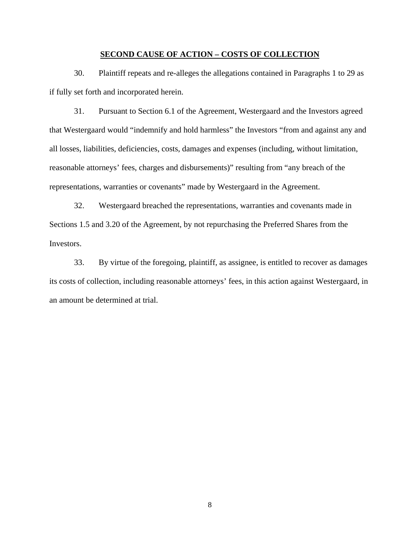## **SECOND CAUSE OF ACTION – COSTS OF COLLECTION**

30. Plaintiff repeats and re-alleges the allegations contained in Paragraphs 1 to 29 as if fully set forth and incorporated herein.

31. Pursuant to Section 6.1 of the Agreement, Westergaard and the Investors agreed that Westergaard would "indemnify and hold harmless" the Investors "from and against any and all losses, liabilities, deficiencies, costs, damages and expenses (including, without limitation, reasonable attorneys' fees, charges and disbursements)" resulting from "any breach of the representations, warranties or covenants" made by Westergaard in the Agreement.

32. Westergaard breached the representations, warranties and covenants made in Sections 1.5 and 3.20 of the Agreement, by not repurchasing the Preferred Shares from the Investors.

33. By virtue of the foregoing, plaintiff, as assignee, is entitled to recover as damages its costs of collection, including reasonable attorneys' fees, in this action against Westergaard, in an amount be determined at trial.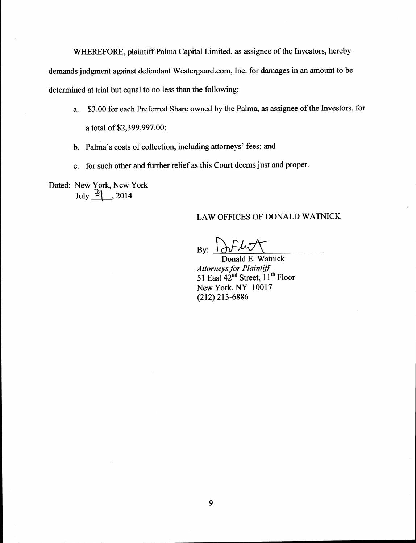WHEREFORE, plaintiff Palma Capital Limited, as assignee of the Investors, hereby demands judgment against defendant Westergaard.com, Inc. for damages in an amount to be determined at trial but equal to no less than the following:

- \$3.00 for each Preferred Share owned by the Palma, as assignee of the Investors, for  $a.$ a total of \$2,399,997.00;
- b. Palma's costs of collection, including attorneys' fees; and
- c. for such other and further relief as this Court deems just and proper.

Dated: New York, New York July  $\frac{3}{2}$ , 2014

# LAW OFFICES OF DONALD WATNICK

By:  $\lambda$ 

Donald E. Watnick Attorneys for Plaintiff<br>51 East  $42<sup>nd</sup>$  Street,  $11<sup>th</sup>$  Floor New York, NY 10017  $(212)$  213-6886